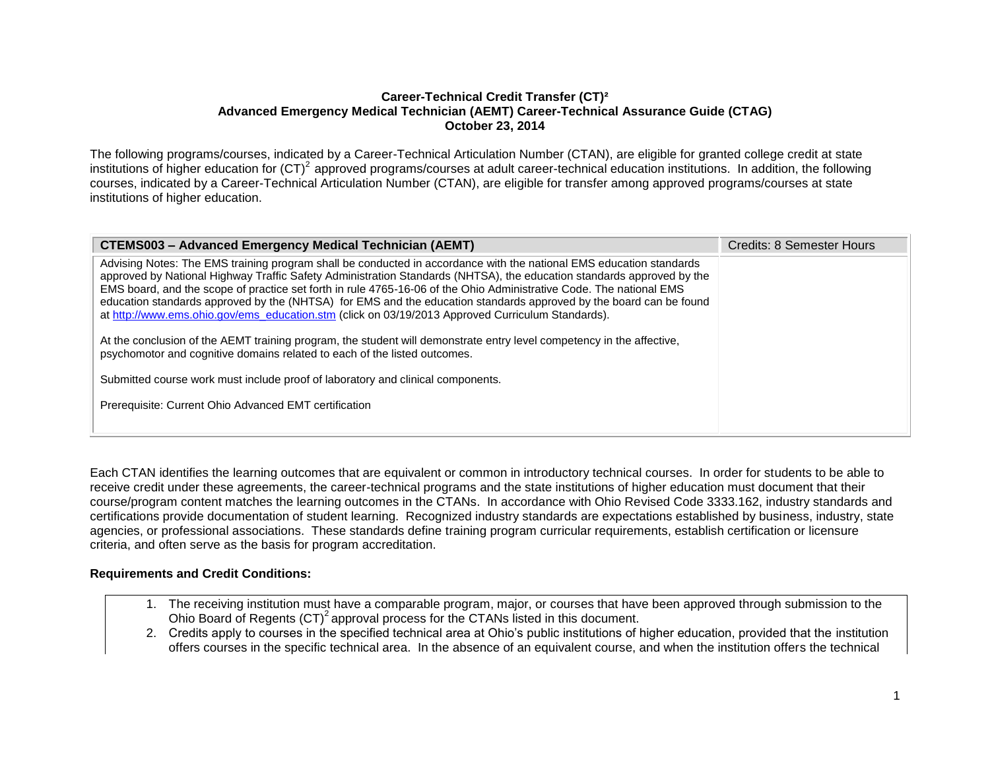#### **Career-Technical Credit Transfer (CT)² Advanced Emergency Medical Technician (AEMT) Career-Technical Assurance Guide (CTAG) October 23, 2014**

The following programs/courses, indicated by a Career-Technical Articulation Number (CTAN), are eligible for granted college credit at state institutions of higher education for  $(CT)^2$  approved programs/courses at adult career-technical education institutions. In addition, the following courses, indicated by a Career-Technical Articulation Number (CTAN), are eligible for transfer among approved programs/courses at state institutions of higher education.

| <b>CTEMS003 - Advanced Emergency Medical Technician (AEMT)</b>                                                                                                                                                                                                                                                                                                                                                                                                                                                                                                                                                                                                                                                                                                                                       | Credits: 8 Semester Hours |
|------------------------------------------------------------------------------------------------------------------------------------------------------------------------------------------------------------------------------------------------------------------------------------------------------------------------------------------------------------------------------------------------------------------------------------------------------------------------------------------------------------------------------------------------------------------------------------------------------------------------------------------------------------------------------------------------------------------------------------------------------------------------------------------------------|---------------------------|
| Advising Notes: The EMS training program shall be conducted in accordance with the national EMS education standards<br>approved by National Highway Traffic Safety Administration Standards (NHTSA), the education standards approved by the<br>EMS board, and the scope of practice set forth in rule 4765-16-06 of the Ohio Administrative Code. The national EMS<br>education standards approved by the (NHTSA) for EMS and the education standards approved by the board can be found<br>at http://www.ems.ohio.gov/ems_education.stm (click on 03/19/2013 Approved Curriculum Standards).<br>At the conclusion of the AEMT training program, the student will demonstrate entry level competency in the affective,<br>psychomotor and cognitive domains related to each of the listed outcomes. |                           |
| Submitted course work must include proof of laboratory and clinical components.<br>Prerequisite: Current Ohio Advanced EMT certification                                                                                                                                                                                                                                                                                                                                                                                                                                                                                                                                                                                                                                                             |                           |

Each CTAN identifies the learning outcomes that are equivalent or common in introductory technical courses. In order for students to be able to receive credit under these agreements, the career-technical programs and the state institutions of higher education must document that their course/program content matches the learning outcomes in the CTANs. In accordance with Ohio Revised Code 3333.162, industry standards and certifications provide documentation of student learning. Recognized industry standards are expectations established by business, industry, state agencies, or professional associations. These standards define training program curricular requirements, establish certification or licensure criteria, and often serve as the basis for program accreditation.

#### **Requirements and Credit Conditions:**

- 1. The receiving institution must have a comparable program, major, or courses that have been approved through submission to the Ohio Board of Regents  $(CT)^2$  approval process for the CTANs listed in this document.
- 2. Credits apply to courses in the specified technical area at Ohio's public institutions of higher education, provided that the institution offers courses in the specific technical area. In the absence of an equivalent course, and when the institution offers the technical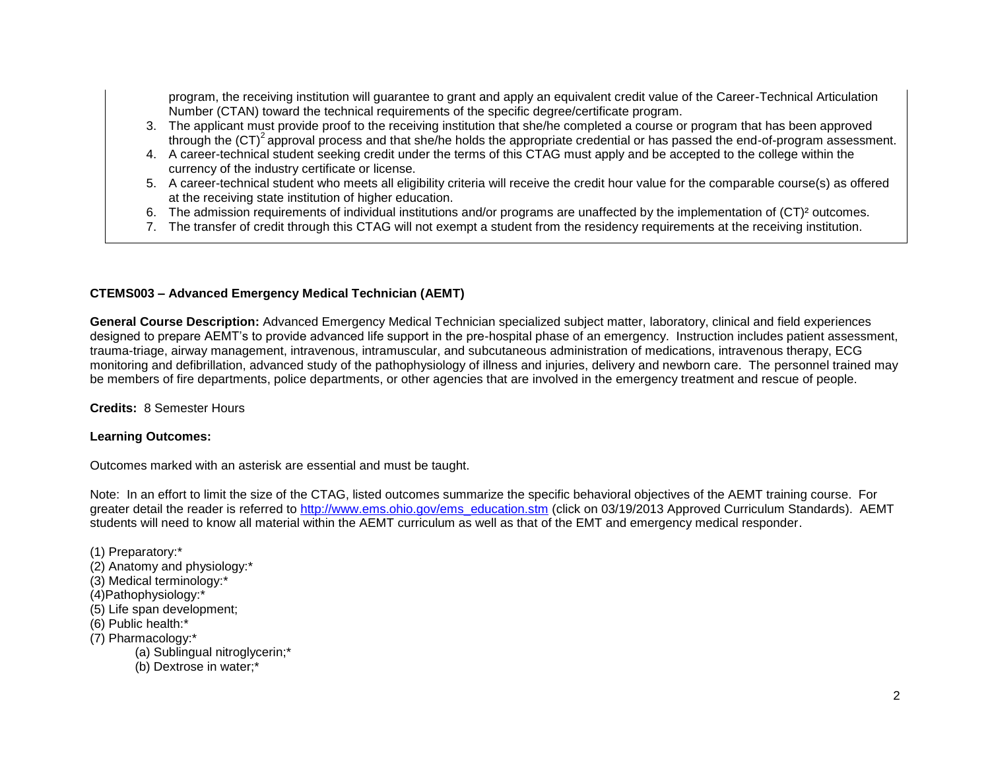program, the receiving institution will guarantee to grant and apply an equivalent credit value of the Career-Technical Articulation Number (CTAN) toward the technical requirements of the specific degree/certificate program.

- 3. The applicant must provide proof to the receiving institution that she/he completed a course or program that has been approved through the  $(CT)^2$  approval process and that she/he holds the appropriate credential or has passed the end-of-program assessment.
- 4. A career-technical student seeking credit under the terms of this CTAG must apply and be accepted to the college within the currency of the industry certificate or license.
- 5. A career-technical student who meets all eligibility criteria will receive the credit hour value for the comparable course(s) as offered at the receiving state institution of higher education.
- 6. The admission requirements of individual institutions and/or programs are unaffected by the implementation of (CT)² outcomes.
- 7. The transfer of credit through this CTAG will not exempt a student from the residency requirements at the receiving institution.

# **CTEMS003 – Advanced Emergency Medical Technician (AEMT)**

**General Course Description:** Advanced Emergency Medical Technician specialized subject matter, laboratory, clinical and field experiences designed to prepare AEMT's to provide advanced life support in the pre-hospital phase of an emergency. Instruction includes patient assessment, trauma-triage, airway management, intravenous, intramuscular, and subcutaneous administration of medications, intravenous therapy, ECG monitoring and defibrillation, advanced study of the pathophysiology of illness and injuries, delivery and newborn care. The personnel trained may be members of fire departments, police departments, or other agencies that are involved in the emergency treatment and rescue of people.

**Credits:** 8 Semester Hours

## **Learning Outcomes:**

Outcomes marked with an asterisk are essential and must be taught.

Note: In an effort to limit the size of the CTAG, listed outcomes summarize the specific behavioral objectives of the AEMT training course. For greater detail the reader is referred to [http://www.ems.ohio.gov/ems\\_education.stm](http://www.ems.ohio.gov/ems_education.stm) (click on 03/19/2013 Approved Curriculum Standards). AEMT students will need to know all material within the AEMT curriculum as well as that of the EMT and emergency medical responder.

(1) Preparatory:\* (2) Anatomy and physiology:\* (3) Medical terminology:\* (4)Pathophysiology:\* (5) Life span development; (6) Public health:\* (7) Pharmacology:\* (a) Sublingual nitroglycerin;\* (b) Dextrose in water;\*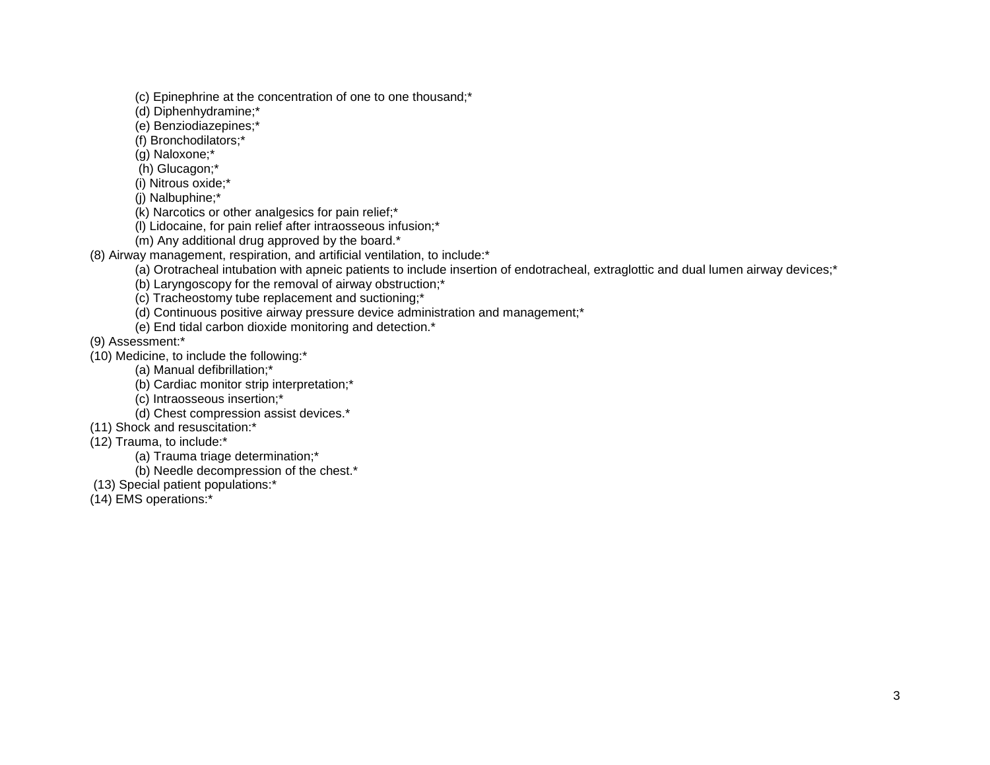(c) Epinephrine at the concentration of one to one thousand;\*

(d) Diphenhydramine;\*

- (e) Benziodiazepines;\*
- (f) Bronchodilators;\*
- (g) Naloxone;\*
- (h) Glucagon;\*
- (i) Nitrous oxide;\*
- (j) Nalbuphine;\*
- (k) Narcotics or other analgesics for pain relief;\*
- (l) Lidocaine, for pain relief after intraosseous infusion;\*
- (m) Any additional drug approved by the board.\*
- (8) Airway management, respiration, and artificial ventilation, to include:\*
	- (a) Orotracheal intubation with apneic patients to include insertion of endotracheal, extraglottic and dual lumen airway devices;\*
	- (b) Laryngoscopy for the removal of airway obstruction;\*
	- (c) Tracheostomy tube replacement and suctioning;\*
	- (d) Continuous positive airway pressure device administration and management;\*
	- (e) End tidal carbon dioxide monitoring and detection.\*

(9) Assessment:\*

- (10) Medicine, to include the following:\*
	- (a) Manual defibrillation;\*
	- (b) Cardiac monitor strip interpretation;\*
	- (c) Intraosseous insertion;\*
	- (d) Chest compression assist devices.\*
- (11) Shock and resuscitation:\*
- (12) Trauma, to include:\*
	- (a) Trauma triage determination;\*
	- (b) Needle decompression of the chest.\*
- (13) Special patient populations:\*
- (14) EMS operations:\*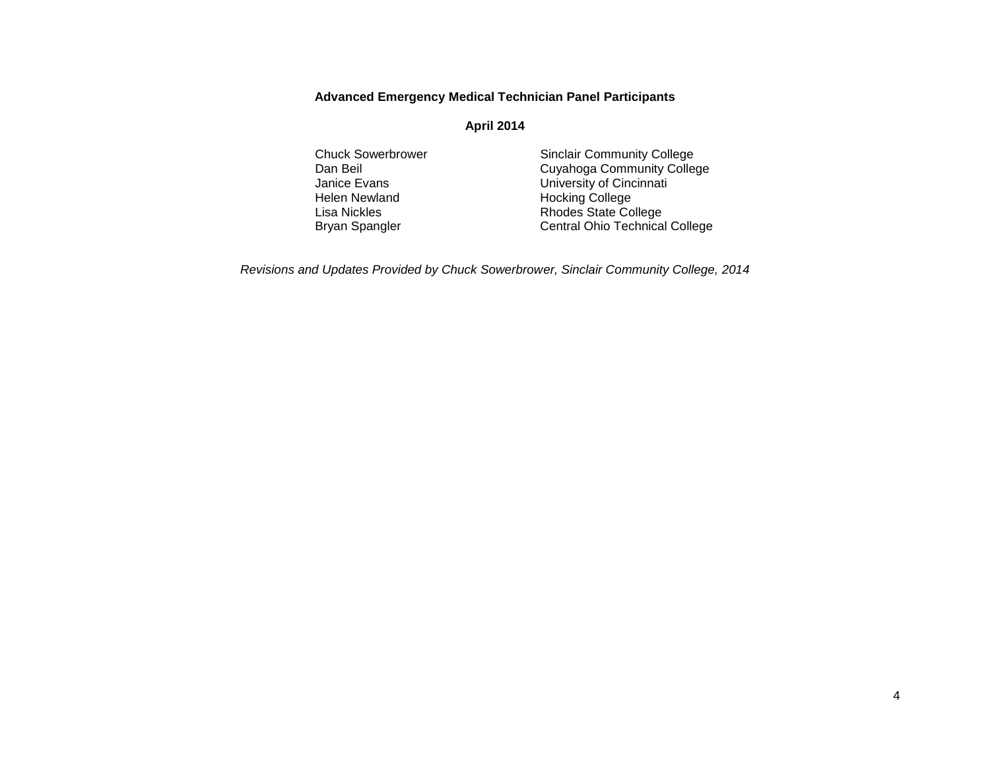## **Advanced Emergency Medical Technician Panel Participants**

#### **April 2014**

- Helen Newland **Hocking College**<br>
Lisa Nickles<br>
Hodes State Co
- Chuck Sowerbrower Sinclair Community College<br>
Dan Beil Community College<br>
Cuyahoga Community College Dan Beil<br>
Janice Evans<br>
University of Cincinnati University of Cincinnati Lisa Nickles **Rhodes** State College Bryan Spangler **Central Ohio Technical College**

*Revisions and Updates Provided by Chuck Sowerbrower, Sinclair Community College, 2014*